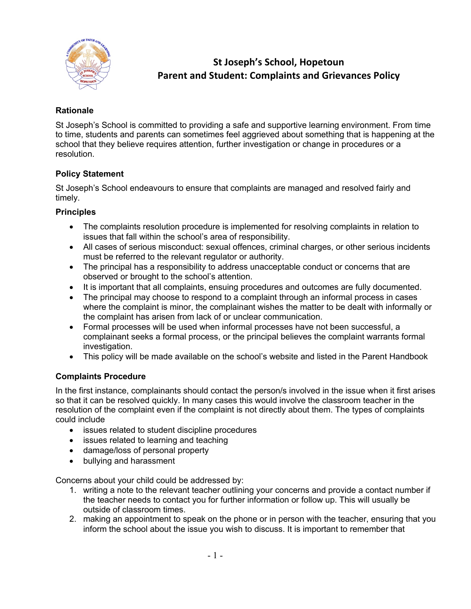

# **St Joseph's School, Hopetoun Parent and Student: Complaints and Grievances Policy**

# **Rationale**

St Joseph's School is committed to providing a safe and supportive learning environment. From time to time, students and parents can sometimes feel aggrieved about something that is happening at the school that they believe requires attention, further investigation or change in procedures or a resolution.

# **Policy Statement**

St Joseph's School endeavours to ensure that complaints are managed and resolved fairly and timely.

# **Principles**

- The complaints resolution procedure is implemented for resolving complaints in relation to issues that fall within the school's area of responsibility.
- All cases of serious misconduct: sexual offences, criminal charges, or other serious incidents must be referred to the relevant regulator or authority.
- The principal has a responsibility to address unacceptable conduct or concerns that are observed or brought to the school's attention.
- It is important that all complaints, ensuing procedures and outcomes are fully documented.
- The principal may choose to respond to a complaint through an informal process in cases where the complaint is minor, the complainant wishes the matter to be dealt with informally or the complaint has arisen from lack of or unclear communication.
- Formal processes will be used when informal processes have not been successful, a complainant seeks a formal process, or the principal believes the complaint warrants formal investigation.
- This policy will be made available on the school's website and listed in the Parent Handbook

# **Complaints Procedure**

In the first instance, complainants should contact the person/s involved in the issue when it first arises so that it can be resolved quickly. In many cases this would involve the classroom teacher in the resolution of the complaint even if the complaint is not directly about them. The types of complaints could include

- issues related to student discipline procedures
- issues related to learning and teaching
- damage/loss of personal property
- bullying and harassment

Concerns about your child could be addressed by:

- 1. writing a note to the relevant teacher outlining your concerns and provide a contact number if the teacher needs to contact you for further information or follow up. This will usually be outside of classroom times.
- 2. making an appointment to speak on the phone or in person with the teacher, ensuring that you inform the school about the issue you wish to discuss. It is important to remember that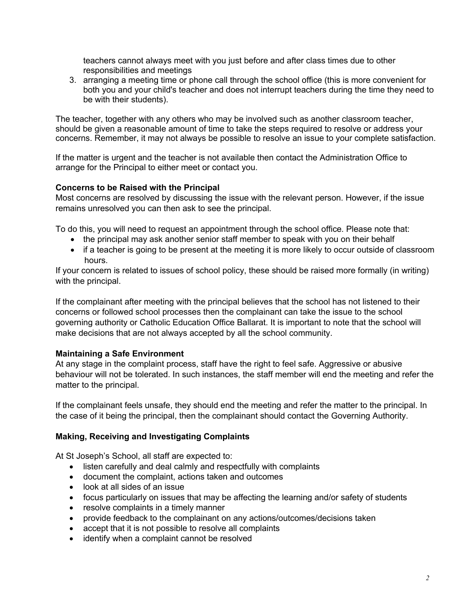teachers cannot always meet with you just before and after class times due to other responsibilities and meetings

3. arranging a meeting time or phone call through the school office (this is more convenient for both you and your child's teacher and does not interrupt teachers during the time they need to be with their students).

The teacher, together with any others who may be involved such as another classroom teacher, should be given a reasonable amount of time to take the steps required to resolve or address your concerns. Remember, it may not always be possible to resolve an issue to your complete satisfaction.

If the matter is urgent and the teacher is not available then contact the Administration Office to arrange for the Principal to either meet or contact you.

# **Concerns to be Raised with the Principal**

Most concerns are resolved by discussing the issue with the relevant person. However, if the issue remains unresolved you can then ask to see the principal.

To do this, you will need to request an appointment through the school office. Please note that:

- the principal may ask another senior staff member to speak with you on their behalf
- if a teacher is going to be present at the meeting it is more likely to occur outside of classroom hours.

If your concern is related to issues of school policy, these should be raised more formally (in writing) with the principal.

If the complainant after meeting with the principal believes that the school has not listened to their concerns or followed school processes then the complainant can take the issue to the school governing authority or Catholic Education Office Ballarat. It is important to note that the school will make decisions that are not always accepted by all the school community.

#### **Maintaining a Safe Environment**

At any stage in the complaint process, staff have the right to feel safe. Aggressive or abusive behaviour will not be tolerated. In such instances, the staff member will end the meeting and refer the matter to the principal.

If the complainant feels unsafe, they should end the meeting and refer the matter to the principal. In the case of it being the principal, then the complainant should contact the Governing Authority.

#### **Making, Receiving and Investigating Complaints**

At St Joseph's School, all staff are expected to:

- listen carefully and deal calmly and respectfully with complaints
- document the complaint, actions taken and outcomes
- look at all sides of an issue
- focus particularly on issues that may be affecting the learning and/or safety of students
- resolve complaints in a timely manner
- provide feedback to the complainant on any actions/outcomes/decisions taken
- accept that it is not possible to resolve all complaints
- identify when a complaint cannot be resolved